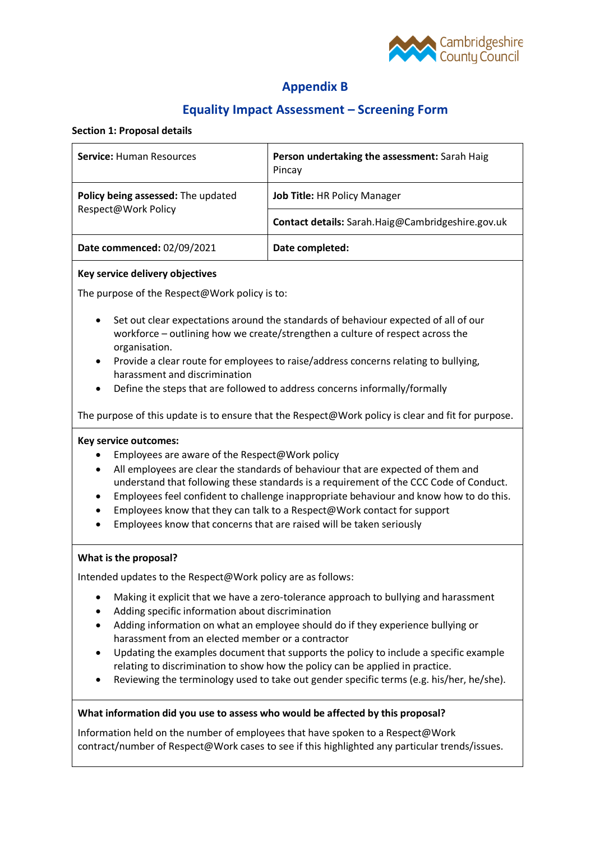

# **Appendix B**

## **Equality Impact Assessment – Screening Form**

#### **Section 1: Proposal details**

| <b>Service: Human Resources</b>                           | Person undertaking the assessment: Sarah Haig<br>Pincay |
|-----------------------------------------------------------|---------------------------------------------------------|
| Policy being assessed: The updated<br>Respect@Work Policy | Job Title: HR Policy Manager                            |
|                                                           | Contact details: Sarah.Haig@Cambridgeshire.gov.uk       |
| Date commenced: 02/09/2021                                | Date completed:                                         |

#### **Key service delivery objectives**

The purpose of the Respect@Work policy is to:

- Set out clear expectations around the standards of behaviour expected of all of our workforce – outlining how we create/strengthen a culture of respect across the organisation.
- Provide a clear route for employees to raise/address concerns relating to bullying, harassment and discrimination
- Define the steps that are followed to address concerns informally/formally

The purpose of this update is to ensure that the Respect@Work policy is clear and fit for purpose.

## **Key service outcomes:**

- Employees are aware of the Respect@Work policy
- All employees are clear the standards of behaviour that are expected of them and understand that following these standards is a requirement of the CCC Code of Conduct.
- Employees feel confident to challenge inappropriate behaviour and know how to do this.
- Employees know that they can talk to a Respect@Work contact for support
- Employees know that concerns that are raised will be taken seriously

## **What is the proposal?**

Intended updates to the Respect@Work policy are as follows:

- Making it explicit that we have a zero-tolerance approach to bullying and harassment
- Adding specific information about discrimination
- Adding information on what an employee should do if they experience bullying or harassment from an elected member or a contractor
- Updating the examples document that supports the policy to include a specific example relating to discrimination to show how the policy can be applied in practice.
- Reviewing the terminology used to take out gender specific terms (e.g. his/her, he/she).

## **What information did you use to assess who would be affected by this proposal?**

Information held on the number of employees that have spoken to a Respect@Work contract/number of Respect@Work cases to see if this highlighted any particular trends/issues.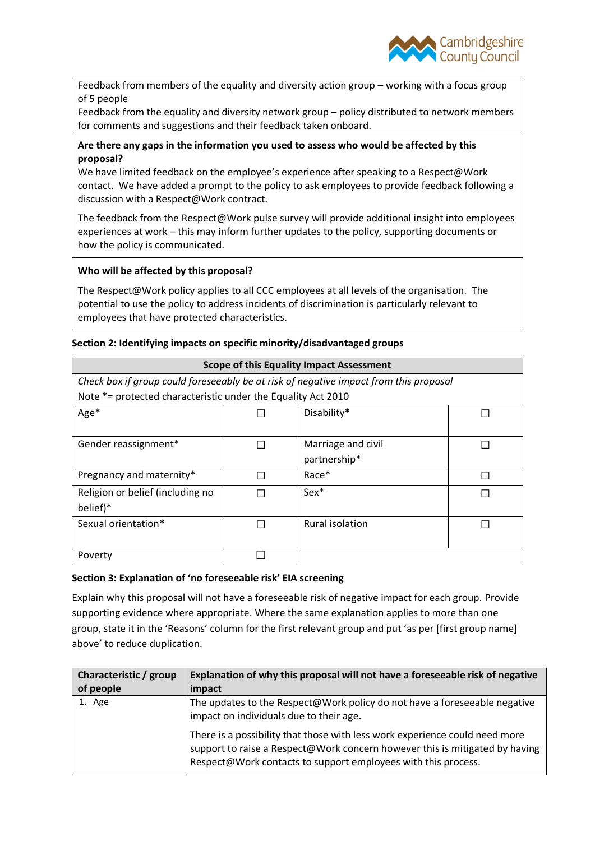

Feedback from members of the equality and diversity action group – working with a focus group of 5 people

Feedback from the equality and diversity network group – policy distributed to network members for comments and suggestions and their feedback taken onboard.

## **Are there any gaps in the information you used to assess who would be affected by this proposal?**

We have limited feedback on the employee's experience after speaking to a Respect@Work contact. We have added a prompt to the policy to ask employees to provide feedback following a discussion with a Respect@Work contract.

The feedback from the Respect@Work pulse survey will provide additional insight into employees experiences at work – this may inform further updates to the policy, supporting documents or how the policy is communicated.

## **Who will be affected by this proposal?**

The Respect@Work policy applies to all CCC employees at all levels of the organisation. The potential to use the policy to address incidents of discrimination is particularly relevant to employees that have protected characteristics.

#### **Section 2: Identifying impacts on specific minority/disadvantaged groups**

| <b>Scope of this Equality Impact Assessment</b>                                       |  |                        |  |  |
|---------------------------------------------------------------------------------------|--|------------------------|--|--|
| Check box if group could foreseeably be at risk of negative impact from this proposal |  |                        |  |  |
| Note *= protected characteristic under the Equality Act 2010                          |  |                        |  |  |
| $Age*$                                                                                |  | Disability*            |  |  |
|                                                                                       |  |                        |  |  |
| Gender reassignment*                                                                  |  | Marriage and civil     |  |  |
|                                                                                       |  | partnership*           |  |  |
| Pregnancy and maternity*                                                              |  | Race*                  |  |  |
| Religion or belief (including no                                                      |  | Sex*                   |  |  |
| belief)*                                                                              |  |                        |  |  |
| Sexual orientation*                                                                   |  | <b>Rural isolation</b> |  |  |
|                                                                                       |  |                        |  |  |
| Poverty                                                                               |  |                        |  |  |

#### **Section 3: Explanation of 'no foreseeable risk' EIA screening**

Explain why this proposal will not have a foreseeable risk of negative impact for each group. Provide supporting evidence where appropriate. Where the same explanation applies to more than one group, state it in the 'Reasons' column for the first relevant group and put 'as per [first group name] above' to reduce duplication.

| Characteristic / group | Explanation of why this proposal will not have a foreseeable risk of negative                                                                                                                                               |
|------------------------|-----------------------------------------------------------------------------------------------------------------------------------------------------------------------------------------------------------------------------|
| of people              | impact                                                                                                                                                                                                                      |
| 1. Age                 | The updates to the Respect@Work policy do not have a foreseeable negative<br>impact on individuals due to their age.                                                                                                        |
|                        | There is a possibility that those with less work experience could need more<br>support to raise a Respect@Work concern however this is mitigated by having<br>Respect@Work contacts to support employees with this process. |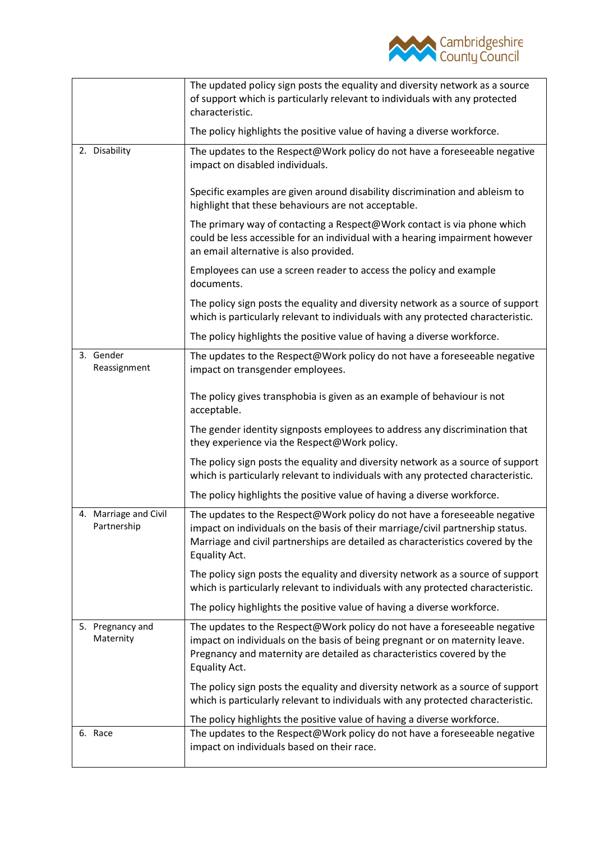

|                                      | The updated policy sign posts the equality and diversity network as a source<br>of support which is particularly relevant to individuals with any protected<br>characteristic.                                                                                 |
|--------------------------------------|----------------------------------------------------------------------------------------------------------------------------------------------------------------------------------------------------------------------------------------------------------------|
|                                      | The policy highlights the positive value of having a diverse workforce.                                                                                                                                                                                        |
| 2. Disability                        | The updates to the Respect@Work policy do not have a foreseeable negative<br>impact on disabled individuals.                                                                                                                                                   |
|                                      | Specific examples are given around disability discrimination and ableism to<br>highlight that these behaviours are not acceptable.                                                                                                                             |
|                                      | The primary way of contacting a Respect@Work contact is via phone which<br>could be less accessible for an individual with a hearing impairment however<br>an email alternative is also provided.                                                              |
|                                      | Employees can use a screen reader to access the policy and example<br>documents.                                                                                                                                                                               |
|                                      | The policy sign posts the equality and diversity network as a source of support<br>which is particularly relevant to individuals with any protected characteristic.                                                                                            |
|                                      | The policy highlights the positive value of having a diverse workforce.                                                                                                                                                                                        |
| 3. Gender<br>Reassignment            | The updates to the Respect@Work policy do not have a foreseeable negative<br>impact on transgender employees.                                                                                                                                                  |
|                                      | The policy gives transphobia is given as an example of behaviour is not<br>acceptable.                                                                                                                                                                         |
|                                      | The gender identity signposts employees to address any discrimination that<br>they experience via the Respect@Work policy.                                                                                                                                     |
|                                      | The policy sign posts the equality and diversity network as a source of support<br>which is particularly relevant to individuals with any protected characteristic.                                                                                            |
|                                      | The policy highlights the positive value of having a diverse workforce.                                                                                                                                                                                        |
| 4. Marriage and Civil<br>Partnership | The updates to the Respect@Work policy do not have a foreseeable negative<br>impact on individuals on the basis of their marriage/civil partnership status.<br>Marriage and civil partnerships are detailed as characteristics covered by the<br>Equality Act. |
|                                      | The policy sign posts the equality and diversity network as a source of support<br>which is particularly relevant to individuals with any protected characteristic.                                                                                            |
|                                      | The policy highlights the positive value of having a diverse workforce.                                                                                                                                                                                        |
| 5. Pregnancy and<br>Maternity        | The updates to the Respect@Work policy do not have a foreseeable negative<br>impact on individuals on the basis of being pregnant or on maternity leave.<br>Pregnancy and maternity are detailed as characteristics covered by the<br>Equality Act.            |
|                                      | The policy sign posts the equality and diversity network as a source of support<br>which is particularly relevant to individuals with any protected characteristic.                                                                                            |
|                                      | The policy highlights the positive value of having a diverse workforce.                                                                                                                                                                                        |
| 6. Race                              | The updates to the Respect@Work policy do not have a foreseeable negative<br>impact on individuals based on their race.                                                                                                                                        |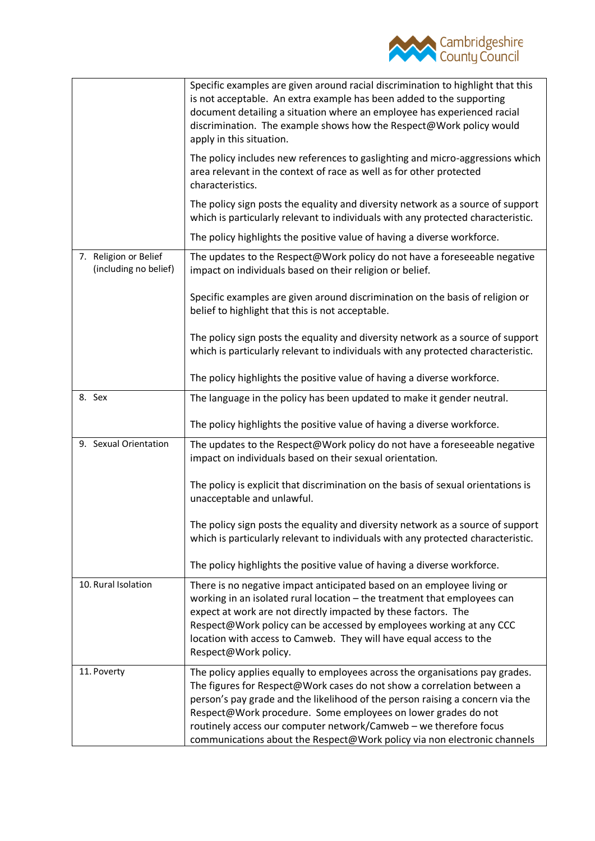

|                                                | Specific examples are given around racial discrimination to highlight that this<br>is not acceptable. An extra example has been added to the supporting<br>document detailing a situation where an employee has experienced racial<br>discrimination. The example shows how the Respect@Work policy would<br>apply in this situation.                                                                                                                     |
|------------------------------------------------|-----------------------------------------------------------------------------------------------------------------------------------------------------------------------------------------------------------------------------------------------------------------------------------------------------------------------------------------------------------------------------------------------------------------------------------------------------------|
|                                                | The policy includes new references to gaslighting and micro-aggressions which<br>area relevant in the context of race as well as for other protected<br>characteristics.                                                                                                                                                                                                                                                                                  |
|                                                | The policy sign posts the equality and diversity network as a source of support<br>which is particularly relevant to individuals with any protected characteristic.                                                                                                                                                                                                                                                                                       |
|                                                | The policy highlights the positive value of having a diverse workforce.                                                                                                                                                                                                                                                                                                                                                                                   |
| 7. Religion or Belief<br>(including no belief) | The updates to the Respect@Work policy do not have a foreseeable negative<br>impact on individuals based on their religion or belief.                                                                                                                                                                                                                                                                                                                     |
|                                                | Specific examples are given around discrimination on the basis of religion or<br>belief to highlight that this is not acceptable.                                                                                                                                                                                                                                                                                                                         |
|                                                | The policy sign posts the equality and diversity network as a source of support<br>which is particularly relevant to individuals with any protected characteristic.                                                                                                                                                                                                                                                                                       |
|                                                | The policy highlights the positive value of having a diverse workforce.                                                                                                                                                                                                                                                                                                                                                                                   |
| 8. Sex                                         | The language in the policy has been updated to make it gender neutral.                                                                                                                                                                                                                                                                                                                                                                                    |
|                                                | The policy highlights the positive value of having a diverse workforce.                                                                                                                                                                                                                                                                                                                                                                                   |
| 9. Sexual Orientation                          | The updates to the Respect@Work policy do not have a foreseeable negative<br>impact on individuals based on their sexual orientation.                                                                                                                                                                                                                                                                                                                     |
|                                                | The policy is explicit that discrimination on the basis of sexual orientations is<br>unacceptable and unlawful.                                                                                                                                                                                                                                                                                                                                           |
|                                                | The policy sign posts the equality and diversity network as a source of support<br>which is particularly relevant to individuals with any protected characteristic.                                                                                                                                                                                                                                                                                       |
|                                                | The policy highlights the positive value of having a diverse workforce.                                                                                                                                                                                                                                                                                                                                                                                   |
| 10. Rural Isolation                            | There is no negative impact anticipated based on an employee living or<br>working in an isolated rural location - the treatment that employees can<br>expect at work are not directly impacted by these factors. The<br>Respect@Work policy can be accessed by employees working at any CCC<br>location with access to Camweb. They will have equal access to the<br>Respect@Work policy.                                                                 |
| 11. Poverty                                    | The policy applies equally to employees across the organisations pay grades.<br>The figures for Respect@Work cases do not show a correlation between a<br>person's pay grade and the likelihood of the person raising a concern via the<br>Respect@Work procedure. Some employees on lower grades do not<br>routinely access our computer network/Camweb - we therefore focus<br>communications about the Respect@Work policy via non electronic channels |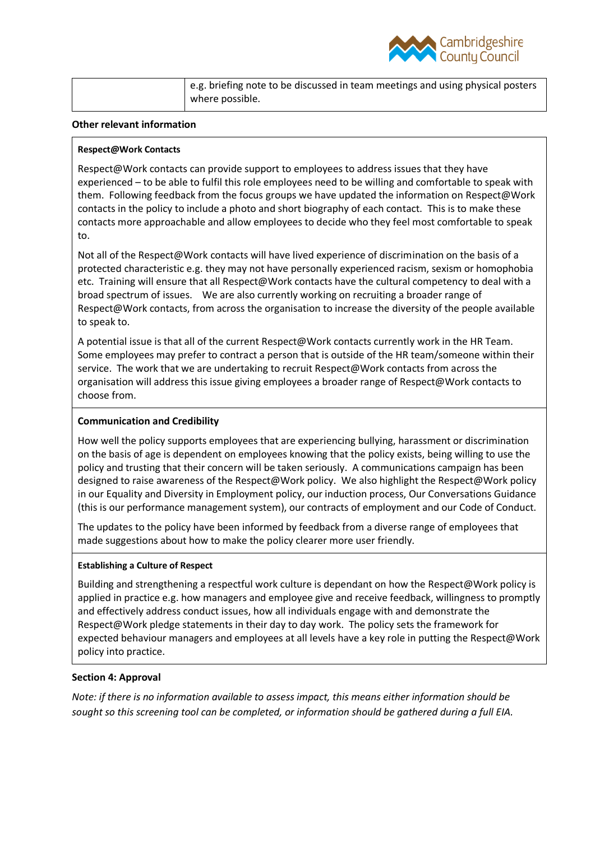

| e.g. briefing note to be discussed in team meetings and using physical posters |
|--------------------------------------------------------------------------------|
| where possible.                                                                |

## **Other relevant information**

#### **Respect@Work Contacts**

Respect@Work contacts can provide support to employees to address issues that they have experienced – to be able to fulfil this role employees need to be willing and comfortable to speak with them. Following feedback from the focus groups we have updated the information on Respect@Work contacts in the policy to include a photo and short biography of each contact. This is to make these contacts more approachable and allow employees to decide who they feel most comfortable to speak to.

Not all of the Respect@Work contacts will have lived experience of discrimination on the basis of a protected characteristic e.g. they may not have personally experienced racism, sexism or homophobia etc. Training will ensure that all Respect@Work contacts have the cultural competency to deal with a broad spectrum of issues. We are also currently working on recruiting a broader range of Respect@Work contacts, from across the organisation to increase the diversity of the people available to speak to.

A potential issue is that all of the current Respect@Work contacts currently work in the HR Team. Some employees may prefer to contract a person that is outside of the HR team/someone within their service. The work that we are undertaking to recruit Respect@Work contacts from across the organisation will address this issue giving employees a broader range of Respect@Work contacts to choose from.

#### **Communication and Credibility**

How well the policy supports employees that are experiencing bullying, harassment or discrimination on the basis of age is dependent on employees knowing that the policy exists, being willing to use the policy and trusting that their concern will be taken seriously. A communications campaign has been designed to raise awareness of the Respect@Work policy. We also highlight the Respect@Work policy in our Equality and Diversity in Employment policy, our induction process, Our Conversations Guidance (this is our performance management system), our contracts of employment and our Code of Conduct.

The updates to the policy have been informed by feedback from a diverse range of employees that made suggestions about how to make the policy clearer more user friendly.

#### **Establishing a Culture of Respect**

Building and strengthening a respectful work culture is dependant on how the Respect@Work policy is applied in practice e.g. how managers and employee give and receive feedback, willingness to promptly and effectively address conduct issues, how all individuals engage with and demonstrate the Respect@Work pledge statements in their day to day work. The policy sets the framework for expected behaviour managers and employees at all levels have a key role in putting the Respect@Work policy into practice.

## **Section 4: Approval**

*Note: if there is no information available to assess impact, this means either information should be sought so this screening tool can be completed, or information should be gathered during a full EIA.*